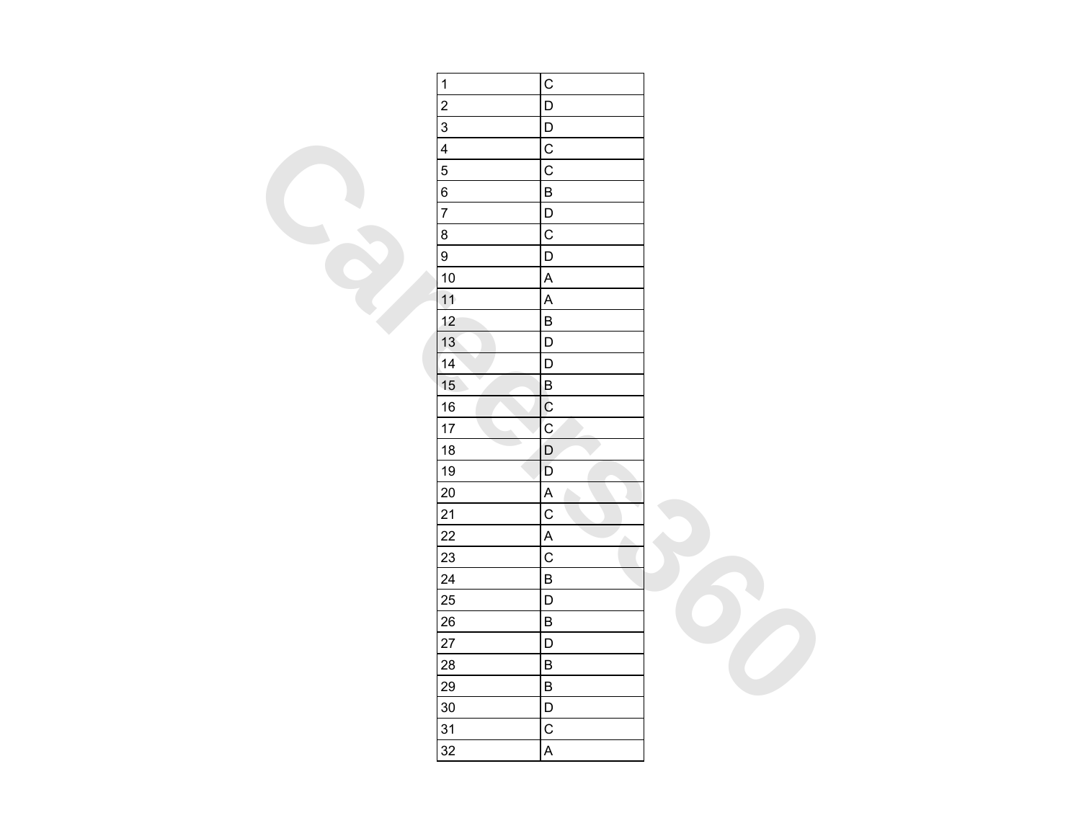| $\mathbf{1}$            | $\mathsf C$               |  |
|-------------------------|---------------------------|--|
| $\overline{c}$          | D                         |  |
| $\overline{3}$          | $\mathsf D$               |  |
| $\overline{\mathbf{4}}$ | $\mathsf C$               |  |
| $\overline{5}$          | $\overline{C}$            |  |
| 6                       | $\sf B$                   |  |
| $\overline{7}$          | $\mathsf D$               |  |
| 8                       | $\mathsf C$               |  |
| $\overline{9}$          | $\overline{\mathsf{D}}$   |  |
| 10                      | $\boldsymbol{\mathsf{A}}$ |  |
| 11                      | $\boldsymbol{\mathsf{A}}$ |  |
| 12                      | $\overline{B}$            |  |
| 13                      | $\mathsf D$               |  |
| 14                      | $\mathsf D$               |  |
| 15                      | $\mathsf B$               |  |
| 16                      | $\overline{C}$            |  |
| 17                      | $\mathbf C$               |  |
| 18                      | $\mathsf D$               |  |
| 19                      | $\mathsf D$               |  |
| 20                      | $\boldsymbol{\mathsf{A}}$ |  |
| 21                      | $\mathsf{C}$              |  |
| 22                      | $\mathsf{A}$<br>۸         |  |
| 23                      | $\mathsf{C}$              |  |
| 24                      | $\overline{B}$            |  |
| 25                      | D                         |  |
| 26                      | $\sf B$                   |  |
| 27                      | D                         |  |
| 28                      | $\sf B$                   |  |
| 29                      | $\sf B$                   |  |
| 30                      | D                         |  |
| 31                      | $\mathsf C$               |  |
| 32                      | $\overline{\mathsf{A}}$   |  |
|                         |                           |  |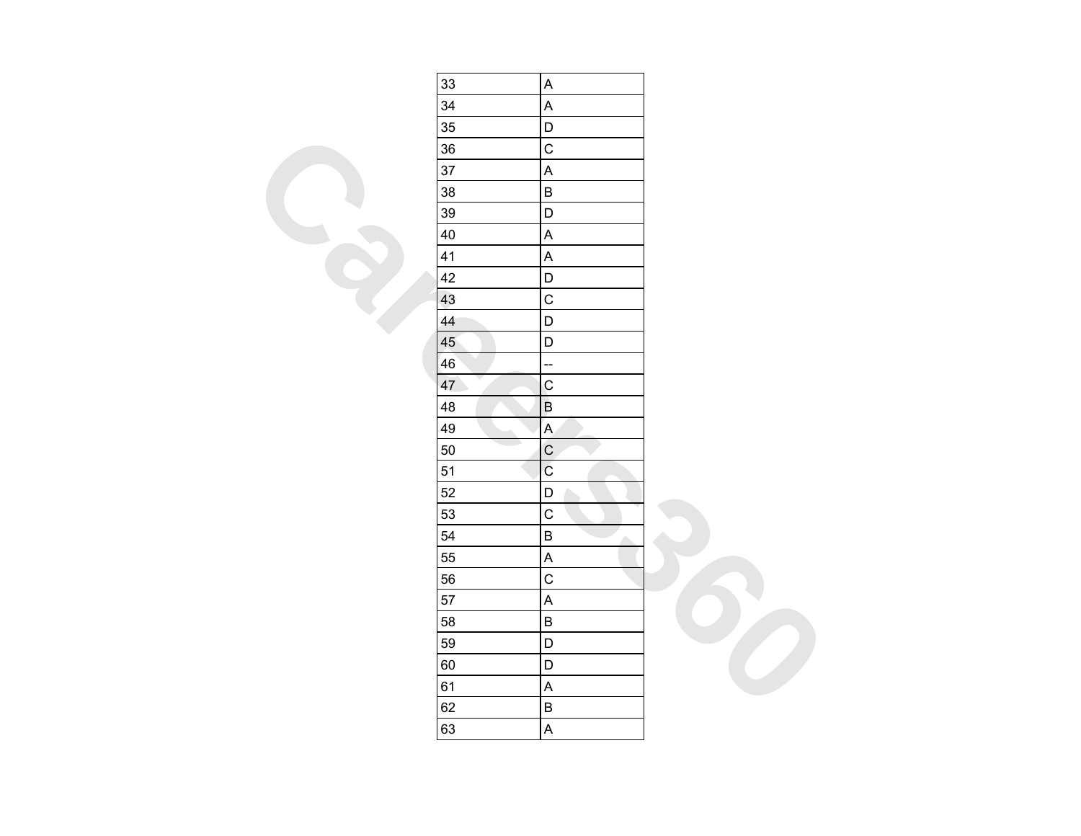| 33 | $\boldsymbol{\mathsf{A}}$ |  |
|----|---------------------------|--|
| 34 | $\overline{\mathsf{A}}$   |  |
| 35 | $\mathsf D$               |  |
| 36 | $\mathsf C$               |  |
| 37 | $\boldsymbol{\mathsf{A}}$ |  |
| 38 | $\sf B$                   |  |
| 39 | $\mathsf D$               |  |
| 40 | $\boldsymbol{\mathsf{A}}$ |  |
| 41 | $\boldsymbol{\mathsf{A}}$ |  |
| 42 | $\mathsf D$               |  |
| 43 | $\mathsf C$               |  |
| 44 | $\mathsf D$               |  |
| 45 | $\mathsf D$               |  |
| 46 | ÷                         |  |
| 47 | $\overline{c}$            |  |
| 48 | $\sf B$                   |  |
| 49 | $\overline{A}$            |  |
| 50 | $\mathsf C$               |  |
| 51 | $\mathsf C$               |  |
| 52 | $\mathsf D$               |  |
| 53 | $\mathsf C$               |  |
| 54 | $\overline{B}$<br>Δ       |  |
| 55 | $\boldsymbol{\mathsf{A}}$ |  |
| 56 | $\mathsf C$               |  |
| 57 | $\overline{\mathsf{A}}$   |  |
| 58 | $\sf B$                   |  |
| 59 | D                         |  |
| 60 | $\mathsf D$               |  |
| 61 | $\boldsymbol{\mathsf{A}}$ |  |
| 62 | $\overline{B}$            |  |
| 63 | $\boldsymbol{\mathsf{A}}$ |  |
|    |                           |  |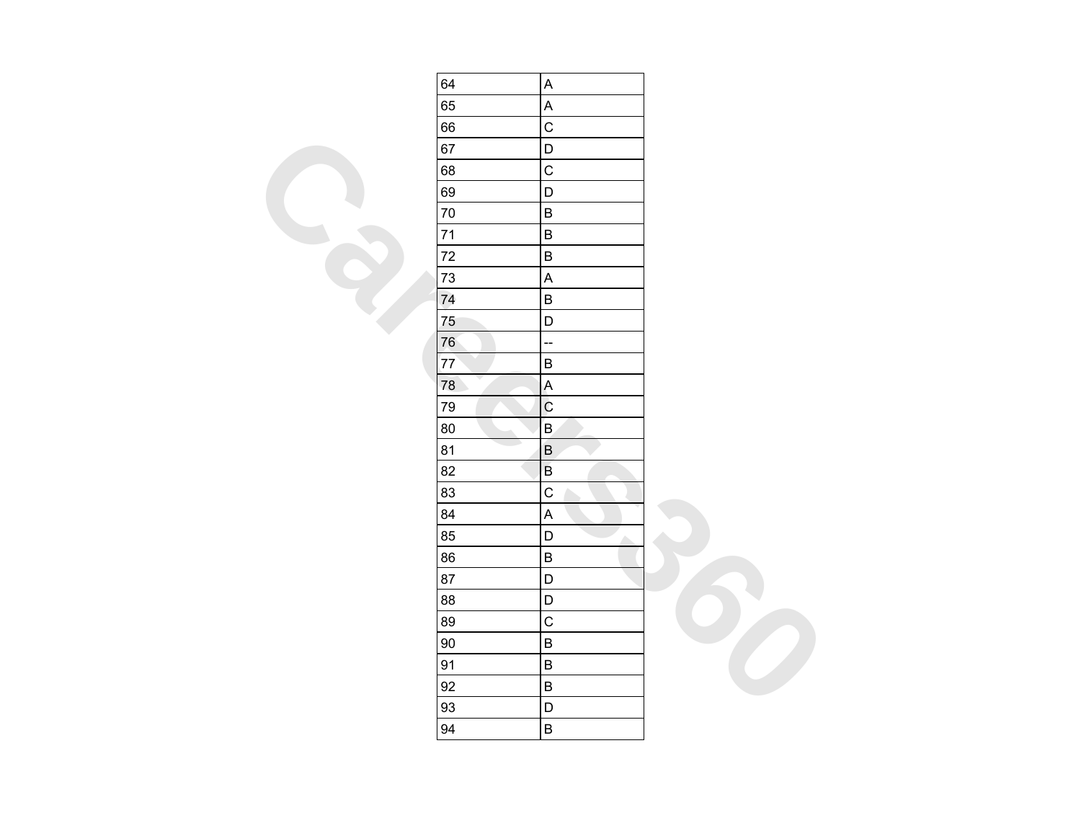| 64 | $\boldsymbol{\mathsf{A}}$              |  |
|----|----------------------------------------|--|
| 65 | $\boldsymbol{\mathsf{A}}$              |  |
| 66 | $\mathsf{C}$                           |  |
| 67 | D                                      |  |
| 68 | $\mathsf{C}$                           |  |
| 69 | D                                      |  |
| 70 | $\sf B$                                |  |
| 71 | $\sf B$                                |  |
| 72 | $\sf B$                                |  |
| 73 | $\boldsymbol{\mathsf{A}}$              |  |
| 74 | $\sf B$                                |  |
| 75 | $\begin{array}{c} \n\end{array}$       |  |
| 76 | $\overline{\phantom{a}}$               |  |
| 77 | $\sf B$                                |  |
| 78 | $\mathsf A$                            |  |
| 79 | $\overline{C}$                         |  |
| 80 | $\mathsf B$                            |  |
| 81 | $\sf B$                                |  |
| 82 | $\sf B$                                |  |
| 83 | $\mathbf C$                            |  |
| 84 | $\mathsf A$                            |  |
| 85 | $\begin{array}{c} \n\end{array}$<br>A. |  |
| 86 | $\sf B$                                |  |
| 87 | $\mathsf D$                            |  |
| 88 | $\mathsf D$                            |  |
| 89 | $\mathbf C$                            |  |
| 90 | $\sf B$                                |  |
| 91 | $\sf B$                                |  |
| 92 | $\sf B$                                |  |
| 93 | $\mathsf D$                            |  |
| 94 | $\sf B$                                |  |
|    |                                        |  |